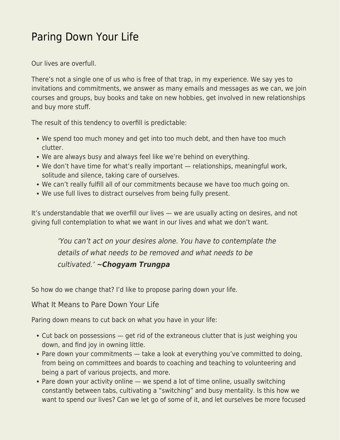## [Paring Down Your Life](https://everything-voluntary.com/paring-down-your-life)

Our lives are overfull.

There's not a single one of us who is free of that trap, in my experience. We say yes to invitations and commitments, we answer as many emails and messages as we can, we join courses and groups, buy books and take on new hobbies, get involved in new relationships and buy more stuff.

The result of this tendency to overfill is predictable:

- We spend too much money and get into too much debt, and then have too much clutter.
- We are always busy and always feel like we're behind on everything.
- We don't have time for what's really important relationships, meaningful work, solitude and silence, taking care of ourselves.
- We can't really fulfill all of our commitments because we have too much going on.
- We use full lives to distract ourselves from being fully present.

It's understandable that we overfill our lives — we are usually acting on desires, and not giving full contemplation to what we want in our lives and what we don't want.

'You can't act on your desires alone. You have to contemplate the details of what needs to be removed and what needs to be cultivated.' *~Chogyam Trungpa*

So how do we change that? I'd like to propose paring down your life.

What It Means to Pare Down Your Life

Paring down means to cut back on what you have in your life:

- Cut back on possessions get rid of the extraneous clutter that is just weighing you down, and find joy in owning little.
- Pare down your commitments take a look at everything you've committed to doing, from being on committees and boards to coaching and teaching to volunteering and being a part of various projects, and more.
- Pare down your activity online we spend a lot of time online, usually switching constantly between tabs, cultivating a "switching" and busy mentality. Is this how we want to spend our lives? Can we let go of some of it, and let ourselves be more focused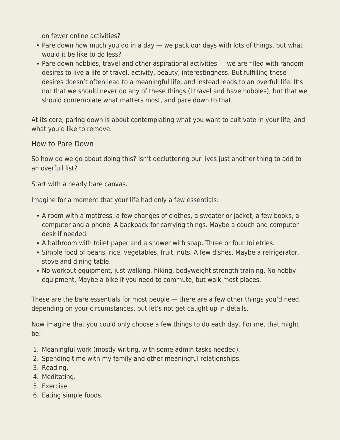on fewer online activities?

- Pare down how much you do in a day we pack our days with lots of things, but what would it be like to do less?
- Pare down hobbies, travel and other aspirational activities we are filled with random desires to live a life of travel, activity, beauty, interestingness. But fulfilling these desires doesn't often lead to a meaningful life, and instead leads to an overfull life. It's not that we should never do any of these things (I travel and have hobbies), but that we should contemplate what matters most, and pare down to that.

At its core, paring down is about contemplating what you want to cultivate in your life, and what you'd like to remove.

How to Pare Down

So how do we go about doing this? Isn't decluttering our lives just another thing to add to an overfull list?

Start with a nearly bare canvas.

Imagine for a moment that your life had only a few essentials:

- A room with a mattress, a few changes of clothes, a sweater or jacket, a few books, a computer and a phone. A backpack for carrying things. Maybe a couch and computer desk if needed.
- A bathroom with toilet paper and a shower with soap. Three or four toiletries.
- Simple food of beans, rice, vegetables, fruit, nuts. A few dishes. Maybe a refrigerator, stove and dining table.
- No workout equipment, just walking, hiking, bodyweight strength training. No hobby equipment. Maybe a bike if you need to commute, but walk most places.

These are the bare essentials for most people — there are a few other things you'd need, depending on your circumstances, but let's not get caught up in details.

Now imagine that you could only choose a few things to do each day. For me, that might be:

- 1. Meaningful work (mostly writing, with some admin tasks needed).
- 2. Spending time with my family and other meaningful relationships.
- 3. Reading.
- 4. Meditating.
- 5. Exercise.
- 6. Eating simple foods.